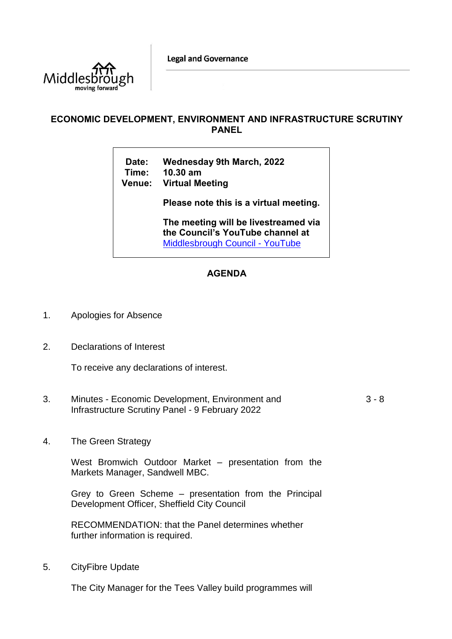**Legal and Governance** 



## **ECONOMIC DEVELOPMENT, ENVIRONMENT AND INFRASTRUCTURE SCRUTINY PANEL**

**Date: Wednesday 9th March, 2022 Time: 10.30 am Venue: Virtual Meeting**

**Please note this is a virtual meeting.** 

**The meeting will be livestreamed via the Council's YouTube channel at**  [Middlesbrough Council -](https://www.youtube.com/user/middlesbroughcouncil) YouTube

## **AGENDA**

- 1. Apologies for Absence
- 2. Declarations of Interest

To receive any declarations of interest.

- 3. Minutes Economic Development, Environment and Infrastructure Scrutiny Panel - 9 February 2022 3 - 8
- 4. The Green Strategy

West Bromwich Outdoor Market – presentation from the Markets Manager, Sandwell MBC.

Grey to Green Scheme – presentation from the Principal Development Officer, Sheffield City Council

RECOMMENDATION: that the Panel determines whether further information is required.

5. CityFibre Update

The City Manager for the Tees Valley build programmes will